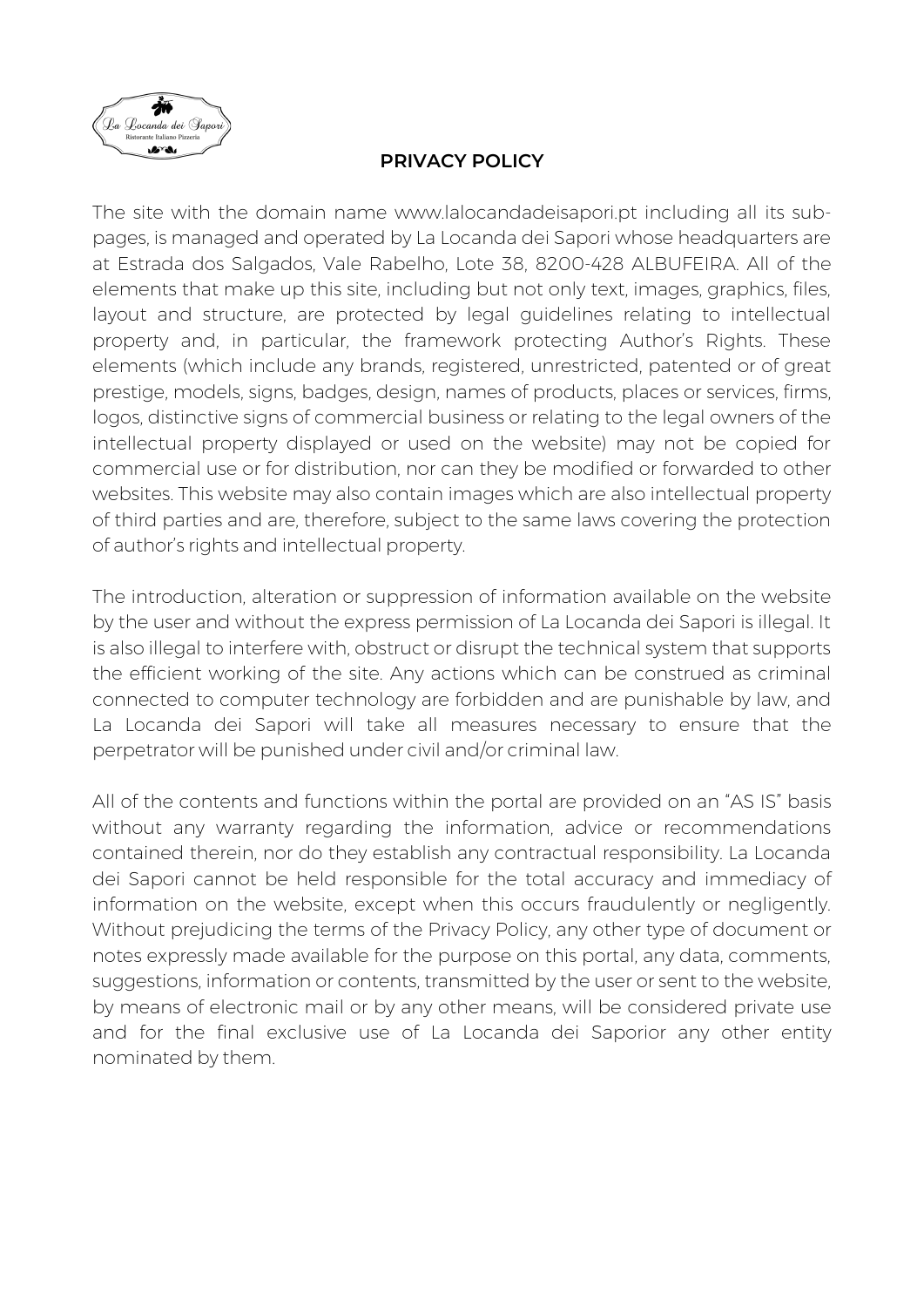

## **PRIVACY POLICY**

The site with the domain name www.lalocandadeisapori.pt including all its subpages, is managed and operated by La Locanda dei Sapori whose headquarters are at Estrada dos Salgados, Vale Rabelho, Lote 38, 8200-428 ALBUFEIRA. All of the elements that make up this site, including but not only text, images, graphics, files, layout and structure, are protected by legal guidelines relating to intellectual property and, in particular, the framework protecting Author's Rights. These elements (which include any brands, registered, unrestricted, patented or of great prestige, models, signs, badges, design, names of products, places or services, firms, logos, distinctive signs of commercial business or relating to the legal owners of the intellectual property displayed or used on the website) may not be copied for commercial use or for distribution, nor can they be modified or forwarded to other websites. This website may also contain images which are also intellectual property of third parties and are, therefore, subject to the same laws covering the protection of author's rights and intellectual property.

The introduction, alteration or suppression of information available on the website by the user and without the express permission of La Locanda dei Sapori is illegal. It is also illegal to interfere with, obstruct or disrupt the technical system that supports the efficient working of the site. Any actions which can be construed as criminal connected to computer technology are forbidden and are punishable by law, and La Locanda dei Sapori will take all measures necessary to ensure that the perpetrator will be punished under civil and/or criminal law.

All of the contents and functions within the portal are provided on an "AS IS" basis without any warranty regarding the information, advice or recommendations contained therein, nor do they establish any contractual responsibility. La Locanda dei Sapori cannot be held responsible for the total accuracy and immediacy of information on the website, except when this occurs fraudulently or negligently. Without prejudicing the terms of the Privacy Policy, any other type of document or notes expressly made available for the purpose on this portal, any data, comments, suggestions, information or contents, transmitted by the user or sent to the website, by means of electronic mail or by any other means, will be considered private use and for the final exclusive use of La Locanda dei Saporior any other entity nominated by them.